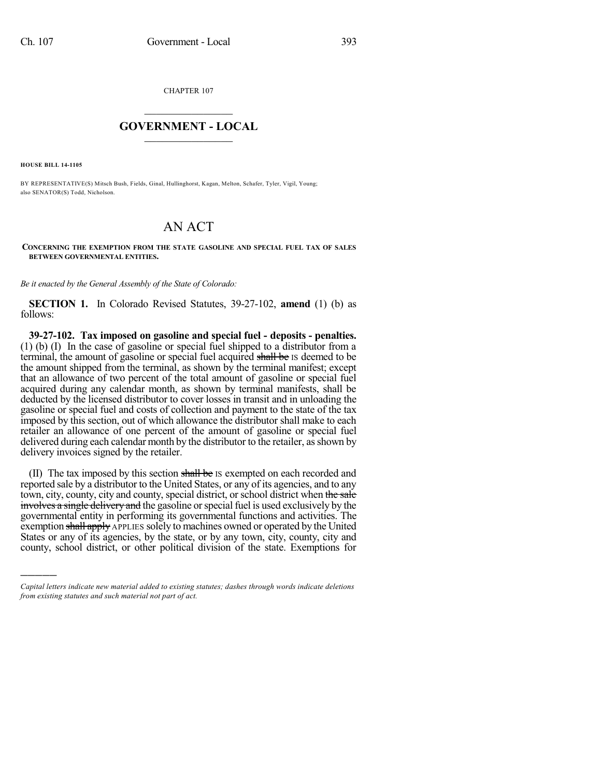CHAPTER 107

## $\mathcal{L}_\text{max}$  . The set of the set of the set of the set of the set of the set of the set of the set of the set of the set of the set of the set of the set of the set of the set of the set of the set of the set of the set **GOVERNMENT - LOCAL**  $\_$

**HOUSE BILL 14-1105**

)))))

BY REPRESENTATIVE(S) Mitsch Bush, Fields, Ginal, Hullinghorst, Kagan, Melton, Schafer, Tyler, Vigil, Young; also SENATOR(S) Todd, Nicholson.

## AN ACT

## **CONCERNING THE EXEMPTION FROM THE STATE GASOLINE AND SPECIAL FUEL TAX OF SALES BETWEEN GOVERNMENTAL ENTITIES.**

*Be it enacted by the General Assembly of the State of Colorado:*

**SECTION 1.** In Colorado Revised Statutes, 39-27-102, **amend** (1) (b) as follows:

**39-27-102. Tax imposed on gasoline and special fuel - deposits - penalties.** (1) (b) (I) In the case of gasoline or special fuel shipped to a distributor from a terminal, the amount of gasoline or special fuel acquired shall be IS deemed to be the amount shipped from the terminal, as shown by the terminal manifest; except that an allowance of two percent of the total amount of gasoline or special fuel acquired during any calendar month, as shown by terminal manifests, shall be deducted by the licensed distributor to cover losses in transit and in unloading the gasoline or special fuel and costs of collection and payment to the state of the tax imposed by this section, out of which allowance the distributor shall make to each retailer an allowance of one percent of the amount of gasoline or special fuel delivered during each calendar month by the distributor to the retailer, as shown by delivery invoices signed by the retailer.

(II) The tax imposed by this section shall be IS exempted on each recorded and reported sale by a distributor to the United States, or any of its agencies, and to any town, city, county, city and county, special district, or school district when the sale involves a single delivery and the gasoline or special fuel is used exclusively by the governmental entity in performing its governmental functions and activities. The exemption shall apply APPLIES solely to machines owned or operated by the United States or any of its agencies, by the state, or by any town, city, county, city and county, school district, or other political division of the state. Exemptions for

*Capital letters indicate new material added to existing statutes; dashes through words indicate deletions from existing statutes and such material not part of act.*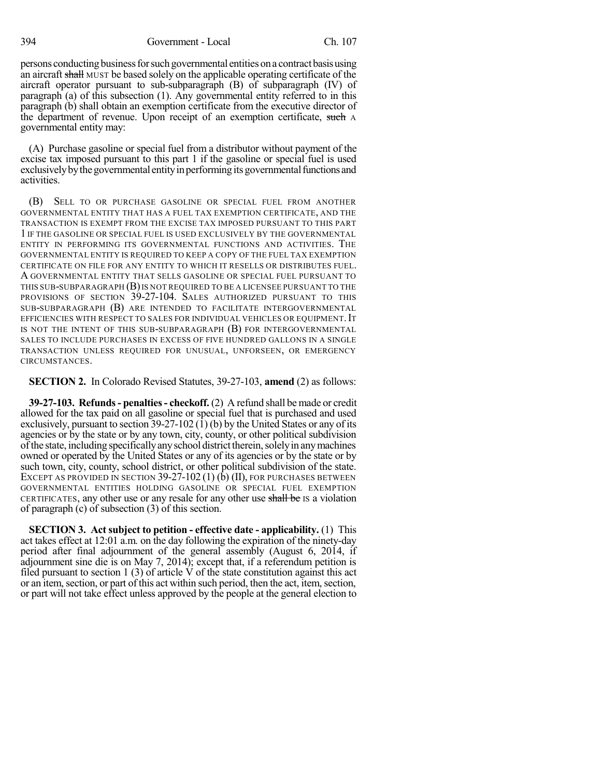394 Government - Local Ch. 107

persons conducting business for such governmental entities on a contract basis using an aircraft shall MUST be based solely on the applicable operating certificate of the aircraft operator pursuant to sub-subparagraph (B) of subparagraph (IV) of paragraph (a) of this subsection (1). Any governmental entity referred to in this paragraph (b) shall obtain an exemption certificate from the executive director of the department of revenue. Upon receipt of an exemption certificate, such A governmental entity may:

(A) Purchase gasoline or special fuel from a distributor without payment of the excise tax imposed pursuant to this part 1 if the gasoline or special fuel is used exclusively by the governmental entity in performing its governmental functions and activities.

(B) SELL TO OR PURCHASE GASOLINE OR SPECIAL FUEL FROM ANOTHER GOVERNMENTAL ENTITY THAT HAS A FUEL TAX EXEMPTION CERTIFICATE, AND THE TRANSACTION IS EXEMPT FROM THE EXCISE TAX IMPOSED PURSUANT TO THIS PART 1 IF THE GASOLINE OR SPECIAL FUEL IS USED EXCLUSIVELY BY THE GOVERNMENTAL ENTITY IN PERFORMING ITS GOVERNMENTAL FUNCTIONS AND ACTIVITIES. THE GOVERNMENTAL ENTITY IS REQUIRED TO KEEP A COPY OF THE FUEL TAX EXEMPTION CERTIFICATE ON FILE FOR ANY ENTITY TO WHICH IT RESELLS OR DISTRIBUTES FUEL. A GOVERNMENTAL ENTITY THAT SELLS GASOLINE OR SPECIAL FUEL PURSUANT TO THIS SUB-SUBPARAGRAPH  $(B)$  IS NOT REQUIRED TO BE A LICENSEE PURSUANT TO THE PROVISIONS OF SECTION 39-27-104. SALES AUTHORIZED PURSUANT TO THIS SUB-SUBPARAGRAPH (B) ARE INTENDED TO FACILITATE INTERGOVERNMENTAL EFFICIENCIES WITH RESPECT TO SALES FOR INDIVIDUAL VEHICLES OR EQUIPMENT. IT IS NOT THE INTENT OF THIS SUB-SUBPARAGRAPH (B) FOR INTERGOVERNMENTAL SALES TO INCLUDE PURCHASES IN EXCESS OF FIVE HUNDRED GALLONS IN A SINGLE TRANSACTION UNLESS REQUIRED FOR UNUSUAL, UNFORSEEN, OR EMERGENCY CIRCUMSTANCES.

**SECTION 2.** In Colorado Revised Statutes, 39-27-103, **amend** (2) as follows:

**39-27-103. Refunds- penalties- checkoff.** (2) A refund shall be made or credit allowed for the tax paid on all gasoline or special fuel that is purchased and used exclusively, pursuant to section 39-27-102 (1) (b) by the United States or any of its agencies or by the state or by any town, city, county, or other political subdivision of the state, including specifically any school district therein, solely in any machines owned or operated by the United States or any of its agencies or by the state or by such town, city, county, school district, or other political subdivision of the state. EXCEPT AS PROVIDED IN SECTION  $39-27-102(1)$  (b) (II), for purchases between GOVERNMENTAL ENTITIES HOLDING GASOLINE OR SPECIAL FUEL EXEMPTION CERTIFICATES, any other use or any resale for any other use shall be IS a violation of paragraph (c) of subsection (3) of this section.

**SECTION 3. Act subject to petition - effective date - applicability.** (1) This act takes effect at 12:01 a.m. on the day following the expiration of the ninety-day period after final adjournment of the general assembly (August 6, 2014, if adjournment sine die is on May 7, 2014); except that, if a referendum petition is filed pursuant to section 1 (3) of article V of the state constitution against this act or an item, section, or part of this act within such period, then the act, item, section, or part will not take effect unless approved by the people at the general election to